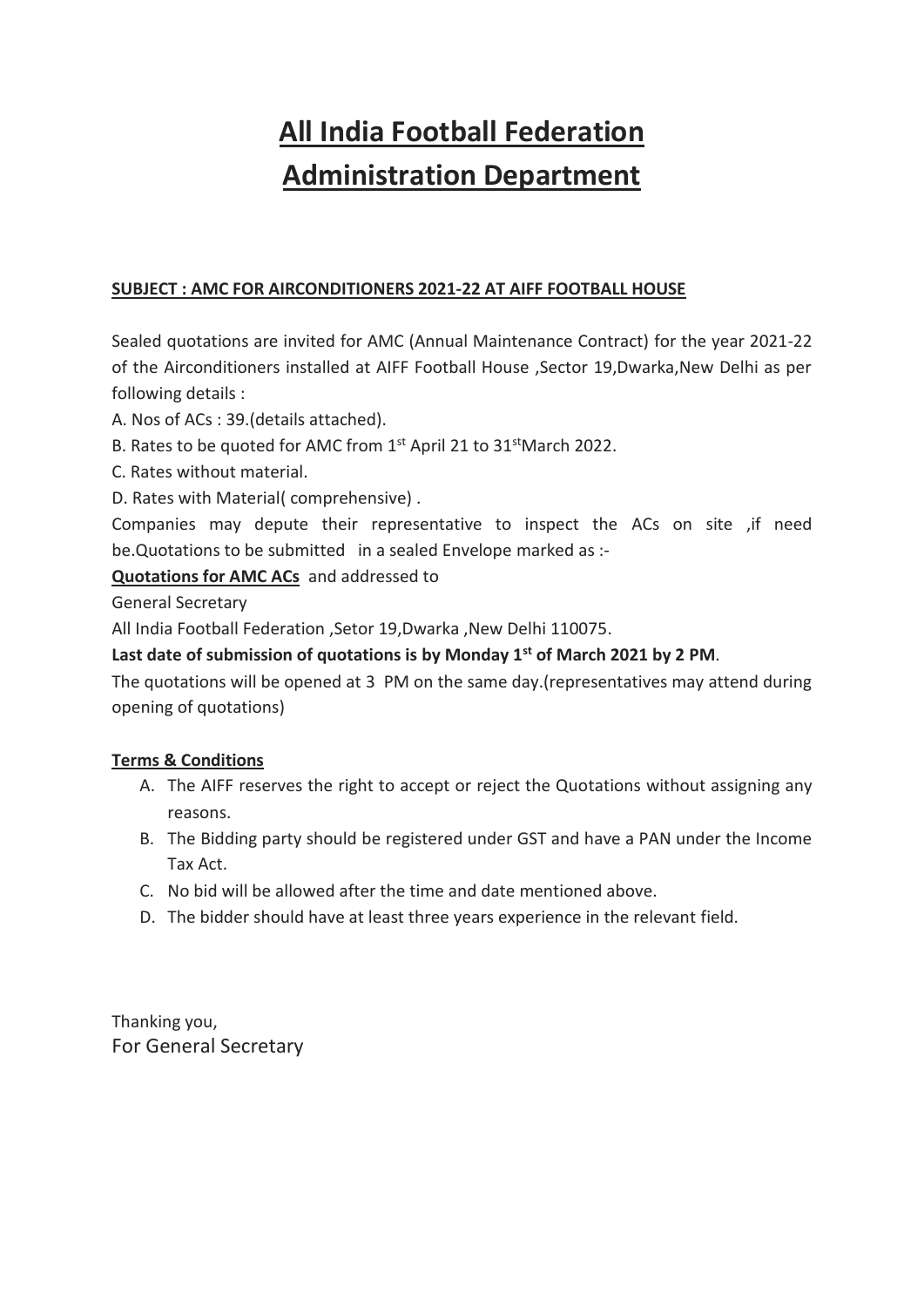# **All India Football Federation Administration Department**

## **SUBJECT : AMC FOR AIRCONDITIONERS 2021-22 AT AIFF FOOTBALL HOUSE**

Sealed quotations are invited for AMC (Annual Maintenance Contract) for the year 2021-22 of the Airconditioners installed at AIFF Football House ,Sector 19,Dwarka,New Delhi as per following details :

- A. Nos of ACs : 39.(details attached).
- B. Rates to be quoted for AMC from 1<sup>st</sup> April 21 to 31<sup>st</sup>March 2022.
- C. Rates without material.
- D. Rates with Material( comprehensive) .

Companies may depute their representative to inspect the ACs on site ,if need be.Quotations to be submitted in a sealed Envelope marked as :-

### **Quotations for AMC ACs** and addressed to

General Secretary

All India Football Federation ,Setor 19,Dwarka ,New Delhi 110075.

#### **Last date of submission of quotations is by Monday 1st of March 2021 by 2 PM**.

The quotations will be opened at 3 PM on the same day.(representatives may attend during opening of quotations)

#### **Terms & Conditions**

- A. The AIFF reserves the right to accept or reject the Quotations without assigning any reasons.
- B. The Bidding party should be registered under GST and have a PAN under the Income Tax Act.
- C. No bid will be allowed after the time and date mentioned above.
- D. The bidder should have at least three years experience in the relevant field.

Thanking you, For General Secretary